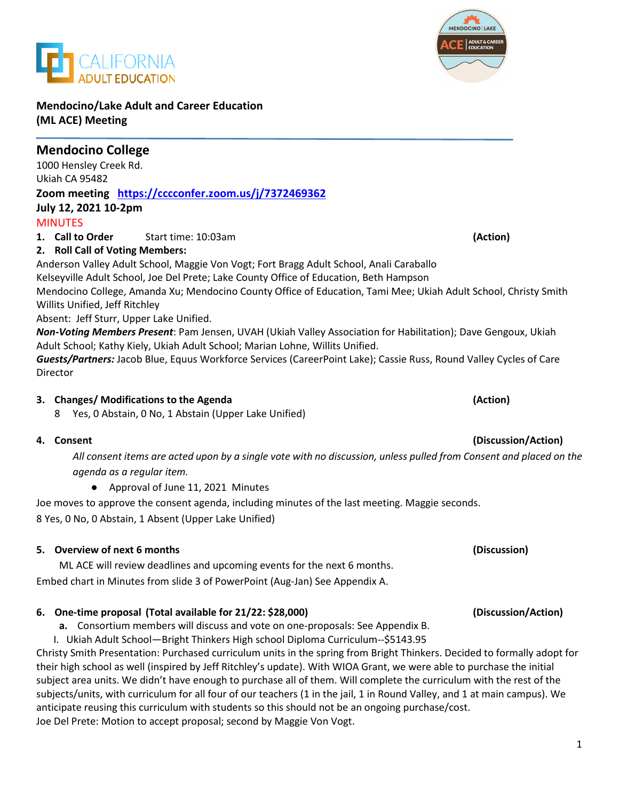**Mendocino/Lake Adult and Career Education (ML ACE) Meeting**

ALIFORNIA

### **Mendocino College**  1000 Hensley Creek Rd. Ukiah CA 95482 **Zoom meeting <https://cccconfer.zoom.us/j/7372469362> July 12, 2021 10-2pm**

### **MINUTES**

**1. Call to Order** Start time: 10:03am **(Action)**

## **2. Roll Call of Voting Members:**

Anderson Valley Adult School, Maggie Von Vogt; Fort Bragg Adult School, Anali Caraballo Kelseyville Adult School, Joe Del Prete; Lake County Office of Education, Beth Hampson

Mendocino College, Amanda Xu; Mendocino County Office of Education, Tami Mee; Ukiah Adult School, Christy Smith Willits Unified, Jeff Ritchley

Absent: Jeff Sturr, Upper Lake Unified.

*Non-Voting Members Present*: Pam Jensen, UVAH (Ukiah Valley Association for Habilitation); Dave Gengoux, Ukiah Adult School; Kathy Kiely, Ukiah Adult School; Marian Lohne, Willits Unified.

*Guests/Partners:* Jacob Blue, Equus Workforce Services (CareerPoint Lake); Cassie Russ, Round Valley Cycles of Care Director

#### **3. Changes/ Modifications to the Agenda (Action)**

8 Yes, 0 Abstain, 0 No, 1 Abstain (Upper Lake Unified)

#### **4. Consent (Discussion/Action)**

*All consent items are acted upon by a single vote with no discussion, unless pulled from Consent and placed on the agenda as a regular item.* 

● Approval of June 11, 2021 Minutes

Joe moves to approve the consent agenda, including minutes of the last meeting. Maggie seconds. 8 Yes, 0 No, 0 Abstain, 1 Absent (Upper Lake Unified)

#### **5. Overview of next 6 months (Discussion)**

ML ACE will review deadlines and upcoming events for the next 6 months. Embed chart in Minutes from slide 3 of PowerPoint (Aug-Jan) See Appendix A.

## **6. One-time proposal (Total available for 21/22: \$28,000) (Discussion/Action)**

**a.** Consortium members will discuss and vote on one-proposals: See Appendix B.

I. Ukiah Adult School—Bright Thinkers High school Diploma Curriculum--\$5143.95

Christy Smith Presentation: Purchased curriculum units in the spring from Bright Thinkers. Decided to formally adopt for their high school as well (inspired by Jeff Ritchley's update). With WIOA Grant, we were able to purchase the initial subject area units. We didn't have enough to purchase all of them. Will complete the curriculum with the rest of the subjects/units, with curriculum for all four of our teachers (1 in the jail, 1 in Round Valley, and 1 at main campus). We anticipate reusing this curriculum with students so this should not be an ongoing purchase/cost. Joe Del Prete: Motion to accept proposal; second by Maggie Von Vogt.

# MENDOCINO | LAKE **ADULT & CAREER**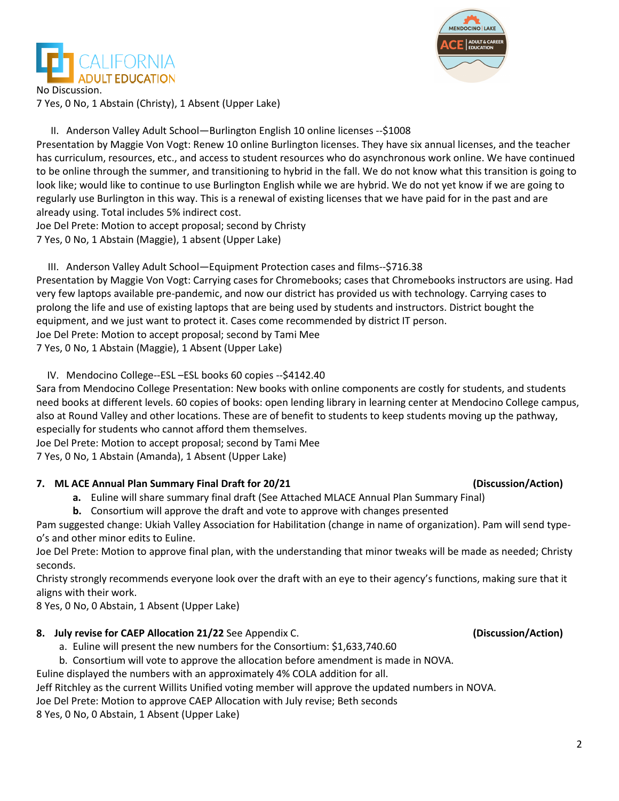



No Discussion. 7 Yes, 0 No, 1 Abstain (Christy), 1 Absent (Upper Lake)

II. Anderson Valley Adult School—Burlington English 10 online licenses --\$1008

Presentation by Maggie Von Vogt: Renew 10 online Burlington licenses. They have six annual licenses, and the teacher has curriculum, resources, etc., and access to student resources who do asynchronous work online. We have continued to be online through the summer, and transitioning to hybrid in the fall. We do not know what this transition is going to look like; would like to continue to use Burlington English while we are hybrid. We do not yet know if we are going to regularly use Burlington in this way. This is a renewal of existing licenses that we have paid for in the past and are already using. Total includes 5% indirect cost.

Joe Del Prete: Motion to accept proposal; second by Christy

7 Yes, 0 No, 1 Abstain (Maggie), 1 absent (Upper Lake)

III. Anderson Valley Adult School—Equipment Protection cases and films--\$716.38

Presentation by Maggie Von Vogt: Carrying cases for Chromebooks; cases that Chromebooks instructors are using. Had very few laptops available pre-pandemic, and now our district has provided us with technology. Carrying cases to prolong the life and use of existing laptops that are being used by students and instructors. District bought the equipment, and we just want to protect it. Cases come recommended by district IT person. Joe Del Prete: Motion to accept proposal; second by Tami Mee

7 Yes, 0 No, 1 Abstain (Maggie), 1 Absent (Upper Lake)

IV. Mendocino College--ESL –ESL books 60 copies --\$4142.40

Sara from Mendocino College Presentation: New books with online components are costly for students, and students need books at different levels. 60 copies of books: open lending library in learning center at Mendocino College campus, also at Round Valley and other locations. These are of benefit to students to keep students moving up the pathway, especially for students who cannot afford them themselves.

Joe Del Prete: Motion to accept proposal; second by Tami Mee

7 Yes, 0 No, 1 Abstain (Amanda), 1 Absent (Upper Lake)

#### **7. ML ACE Annual Plan Summary Final Draft for 20/21 (Discussion/Action)**

**a.** Euline will share summary final draft (See Attached MLACE Annual Plan Summary Final)

**b.** Consortium will approve the draft and vote to approve with changes presented

Pam suggested change: Ukiah Valley Association for Habilitation (change in name of organization). Pam will send typeo's and other minor edits to Euline.

Joe Del Prete: Motion to approve final plan, with the understanding that minor tweaks will be made as needed; Christy seconds.

Christy strongly recommends everyone look over the draft with an eye to their agency's functions, making sure that it aligns with their work.

8 Yes, 0 No, 0 Abstain, 1 Absent (Upper Lake)

#### **8. July revise for CAEP Allocation 21/22** See Appendix C. **(Discussion/Action)**

- a. Euline will present the new numbers for the Consortium: \$1,633,740.60
- b. Consortium will vote to approve the allocation before amendment is made in NOVA.

Euline displayed the numbers with an approximately 4% COLA addition for all.

Jeff Ritchley as the current Willits Unified voting member will approve the updated numbers in NOVA.

Joe Del Prete: Motion to approve CAEP Allocation with July revise; Beth seconds

8 Yes, 0 No, 0 Abstain, 1 Absent (Upper Lake)

2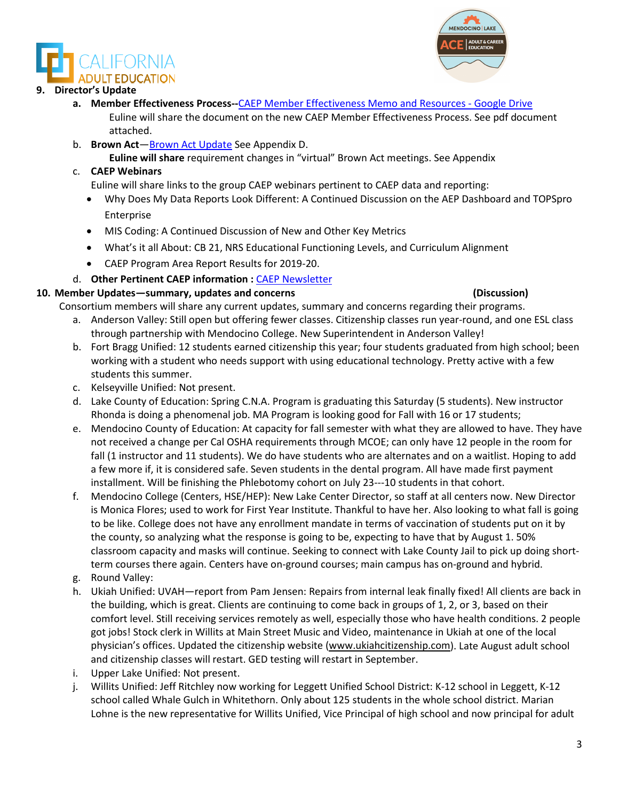#### **9. Director's Update**

- **a. Member Effectiveness Process--**[CAEP Member Effectiveness Memo and Resources -](https://drive.google.com/drive/folders/1AwCOXqnd00NHCydb5DZKT97JXWmf9TLx) Google Drive Euline will share the document on the new CAEP Member Effectiveness Process. See pdf document attached.
- b. **Brown Act**[—Brown Act Update](https://www.keenan.com/Resources/Briefings/Briefings-Detail/virtual-brown-act-meetings-will-expire-september-30th) See Appendix D.

**Euline will share** requirement changes in "virtual" Brown Act meetings. See Appendix

#### c. **CAEP Webinars**

Euline will share links to the group CAEP webinars pertinent to CAEP data and reporting:

- Why Does My Data Reports Look Different: A Continued Discussion on the AEP Dashboard and TOPSpro Enterprise
- MIS Coding: A Continued Discussion of New and Other Key Metrics
- What's it all About: CB 21, NRS Educational Functioning Levels, and Curriculum Alignment
- CAEP Program Area Report Results for 2019-20.
- d. **Other Pertinent CAEP information :** [CAEP Newsletter](https://myemail.constantcontact.com/CA-State-Budget-for-2021-22-Gives-CAEP-Additional-Funds--CAEP-Annual-Plans-Due-in-NOVA-by-August-15th--New-Launch-Series-Alert--.html?soid=1114865855964&aid=P_7-6Wn6SjI)

#### **10. Member Updates—summary, updates and concerns (Discussion)**

Consortium members will share any current updates, summary and concerns regarding their programs.

- a. Anderson Valley: Still open but offering fewer classes. Citizenship classes run year-round, and one ESL class through partnership with Mendocino College. New Superintendent in Anderson Valley!
- b. Fort Bragg Unified: 12 students earned citizenship this year; four students graduated from high school; been working with a student who needs support with using educational technology. Pretty active with a few students this summer.
- c. Kelseyville Unified: Not present.
- d. Lake County of Education: Spring C.N.A. Program is graduating this Saturday (5 students). New instructor Rhonda is doing a phenomenal job. MA Program is looking good for Fall with 16 or 17 students;
- e. Mendocino County of Education: At capacity for fall semester with what they are allowed to have. They have not received a change per Cal OSHA requirements through MCOE; can only have 12 people in the room for fall (1 instructor and 11 students). We do have students who are alternates and on a waitlist. Hoping to add a few more if, it is considered safe. Seven students in the dental program. All have made first payment installment. Will be finishing the Phlebotomy cohort on July 23---10 students in that cohort.
- f. Mendocino College (Centers, HSE/HEP): New Lake Center Director, so staff at all centers now. New Director is Monica Flores; used to work for First Year Institute. Thankful to have her. Also looking to what fall is going to be like. College does not have any enrollment mandate in terms of vaccination of students put on it by the county, so analyzing what the response is going to be, expecting to have that by August 1. 50% classroom capacity and masks will continue. Seeking to connect with Lake County Jail to pick up doing shortterm courses there again. Centers have on-ground courses; main campus has on-ground and hybrid.
- g. Round Valley:
- h. Ukiah Unified: UVAH—report from Pam Jensen: Repairs from internal leak finally fixed! All clients are back in the building, which is great. Clients are continuing to come back in groups of 1, 2, or 3, based on their comfort level. Still receiving services remotely as well, especially those who have health conditions. 2 people got jobs! Stock clerk in Willits at Main Street Music and Video, maintenance in Ukiah at one of the local physician's offices. Updated the citizenship website [\(www.ukiahcitizenship.com\)](http://www.ukiahcitizenship.com/). Late August adult school and citizenship classes will restart. GED testing will restart in September.
- i. Upper Lake Unified: Not present.
- j. Willits Unified: Jeff Ritchley now working for Leggett Unified School District: K-12 school in Leggett, K-12 school called Whale Gulch in Whitethorn. Only about 125 students in the whole school district. Marian Lohne is the new representative for Willits Unified, Vice Principal of high school and now principal for adult

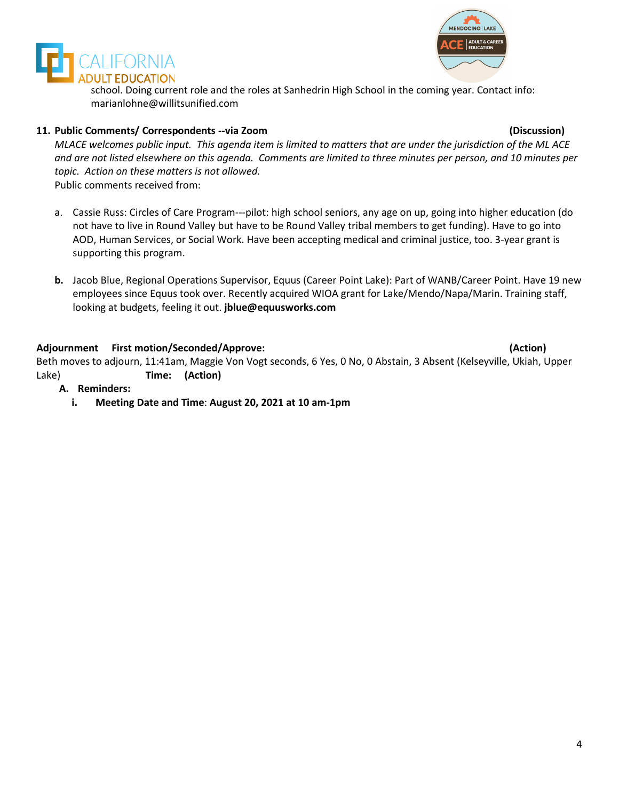



school. Doing current role and the roles at Sanhedrin High School in the coming year. Contact info: marianlohne@willitsunified.com

#### **11. Public Comments/ Correspondents --via Zoom (Discussion)**

*MLACE welcomes public input. This agenda item is limited to matters that are under the jurisdiction of the ML ACE and are not listed elsewhere on this agenda. Comments are limited to three minutes per person, and 10 minutes per topic. Action on these matters is not allowed.* Public comments received from:

- a. Cassie Russ: Circles of Care Program---pilot: high school seniors, any age on up, going into higher education (do not have to live in Round Valley but have to be Round Valley tribal members to get funding). Have to go into AOD, Human Services, or Social Work. Have been accepting medical and criminal justice, too. 3-year grant is supporting this program.
- **b.** Jacob Blue, Regional Operations Supervisor, Equus (Career Point Lake): Part of WANB/Career Point. Have 19 new employees since Equus took over. Recently acquired WIOA grant for Lake/Mendo/Napa/Marin. Training staff, looking at budgets, feeling it out. **jblue@equusworks.com**

#### **Adjournment First motion/Seconded/Approve: (Action)**

Beth moves to adjourn, 11:41am, Maggie Von Vogt seconds, 6 Yes, 0 No, 0 Abstain, 3 Absent (Kelseyville, Ukiah, Upper Lake) **Time: (Action)**

- **A. Reminders:**
	- **i. Meeting Date and Time**: **August 20, 2021 at 10 am-1pm**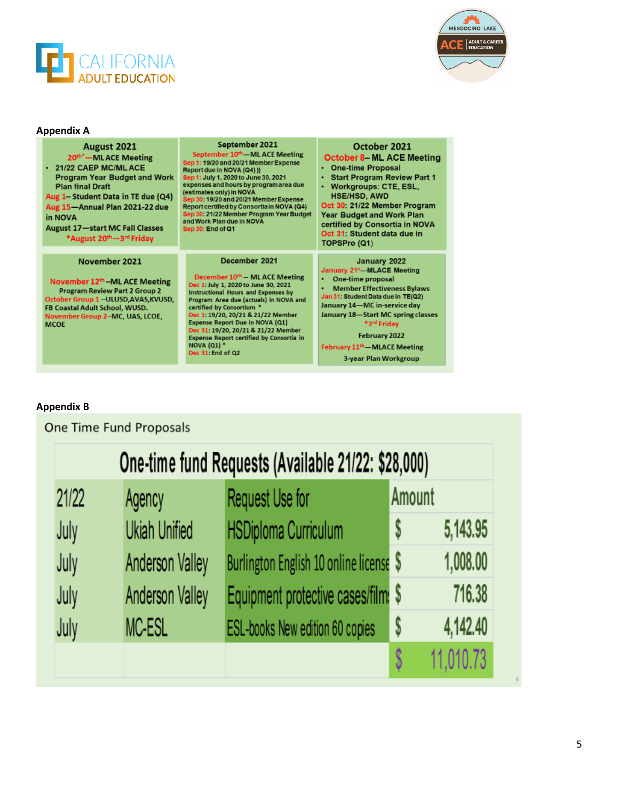



### **Appendix A**

| August 2021<br>20 <sup>th*</sup> —MLACE Meeting<br>+ 21/22 CAEP MC/ML ACE<br><b>Program Year Budget and Work</b><br><b>Plan final Draft</b><br>Aug 1- Student Data in TE due (Q4)<br>Aug 15-Annual Plan 2021-22 due<br>in NOVA<br><b>August 17-start MC Fall Classes</b><br>*August 20th-3rd Friday | September 2021<br>September 10 <sup>th</sup> —ML ACE Meeting<br>Sep 1: 19/20 and 20/21 Member Expense<br>Report due in NOVA (Q4) ))<br>Sep 1: July 1, 2020 to June 30, 2021<br>expenses and hours by program area due<br>(estimates only) in NOVA<br>Sep 30: 19/20 and 20/21 Member Expense<br>Report certified by Consortia in NOVA (Q4)<br>Sep 30: 21/22 Member Program Year Budget<br>and Work Plan due in NOVA<br>Sep 30: End of Q1 | October 2021<br><b>October 8– ML ACE Meeting</b><br>• One-time Proposal<br><b>Start Program Review Part 1</b><br>Workgroups: CTE, ESL,<br><b>HSE/HSD, AWD</b><br>Oct 30: 21/22 Member Program<br><b>Year Budget and Work Plan</b><br>certified by Consortia in NOVA<br>Oct 31: Student data due in<br>TOPSPro (Q1)     |
|-----------------------------------------------------------------------------------------------------------------------------------------------------------------------------------------------------------------------------------------------------------------------------------------------------|-----------------------------------------------------------------------------------------------------------------------------------------------------------------------------------------------------------------------------------------------------------------------------------------------------------------------------------------------------------------------------------------------------------------------------------------|------------------------------------------------------------------------------------------------------------------------------------------------------------------------------------------------------------------------------------------------------------------------------------------------------------------------|
| November 2021<br>November 12 <sup>th</sup> –ML ACE Meeting<br><b>Program Review Part 2 Group 2</b><br>October Group 1 -- ULUSD, AVAS, KVUSD,<br>FB Coastal Adult School, WUSD.<br>November Group 2-MC, UAS, LCOE,<br><b>MCOE</b>                                                                    | December 2021<br>December 10th -- ML ACE Meeting<br>Dec 1: July 1, 2020 to June 30, 2021<br><b>Instructional Hours and Expenses by</b><br>Program Area due (actuals) in NOVA and<br>certified by Consortium *<br>Dec 1: 19/20, 20/21 & 21/22 Member<br>Expense Report Due in NOVA (Q1)<br>Dec 31: 19/20, 20/21 & 21/22 Member<br>Expense Report certified by Consortia in<br><b>NOVA (Q1) *</b><br>Dec 31: End of Q2                    | January 2022<br>January 21*-MLACE Meeting<br>One-time proposal<br><b>Member Effectiveness Bylaws</b><br>Jan 31: Student Data due in TE(Q2)<br>January 14-MC in-service day<br>January 18-Start MC spring classes<br>*3rd Friday<br>February 2022<br>February 11 <sup>th</sup> - MLACE Meeting<br>3-year Plan Workgroup |

### **Appendix B**

# One Time Fund Proposals

|       |                        | One-time fund Requests (Available 21/22: \$28,000) |        |           |
|-------|------------------------|----------------------------------------------------|--------|-----------|
| 21/22 | Agency                 | Request Use for                                    | Amount |           |
| July  | <b>Ukiah Unified</b>   | <b>HSDiploma Curriculum</b>                        | S      | 5,143.95  |
| July  | <b>Anderson Valley</b> | Burlington English 10 online license \$            |        | 1,008.00  |
| July  | <b>Anderson Valley</b> | Equipment protective cases/film: \$                |        | 716.38    |
| July  | MC-ESL                 | ESL-books New edition 60 copies                    | \$     | 4,142.40  |
|       |                        |                                                    |        | 11,010.73 |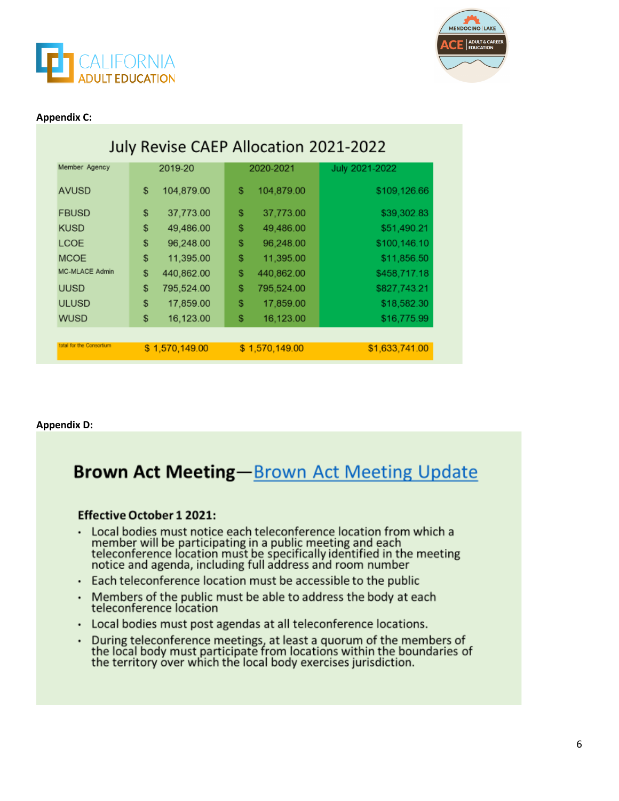



#### **Appendix C:**

| July Revise CAEP Allocation 2021-2022 |                  |                  |                |  |  |
|---------------------------------------|------------------|------------------|----------------|--|--|
| Member Agency                         | 2019-20          | 2020-2021        | July 2021-2022 |  |  |
| <b>AVUSD</b>                          | 104,879.00<br>\$ | 104,879.00<br>\$ | \$109,126.66   |  |  |
| <b>FBUSD</b>                          | 37,773.00<br>\$  | \$<br>37,773.00  | \$39,302.83    |  |  |
| <b>KUSD</b>                           | \$<br>49,486.00  | \$<br>49,486.00  | \$51,490.21    |  |  |
| <b>LCOE</b>                           | \$<br>96,248.00  | \$<br>96,248.00  | \$100,146.10   |  |  |
| <b>MCOE</b>                           | \$<br>11,395.00  | \$<br>11,395.00  | \$11,856.50    |  |  |
| <b>MC-MLACE Admin</b>                 | \$<br>440,862.00 | \$<br>440,862.00 | \$458,717.18   |  |  |
| <b>UUSD</b>                           | \$<br>795,524.00 | \$<br>795,524.00 | \$827,743.21   |  |  |
| <b>ULUSD</b>                          | \$<br>17,859.00  | \$<br>17,859.00  | \$18,582.30    |  |  |
| <b>WUSD</b>                           | 16,123.00<br>\$  | 16,123.00<br>\$  | \$16,775.99    |  |  |
| total for the Consortium              |                  |                  |                |  |  |
|                                       | \$1,570,149.00   | \$1,570,149.00   | \$1,633,741.00 |  |  |

#### **Appendix D:**

# **Brown Act Meeting-Brown Act Meeting Update**

#### **Effective October 1 2021:**

- Local bodies must notice each teleconference location from which a<br>member will be participating in a public meeting and each<br>teleconference location must be specifically identified in the meeting<br>notice and agenda, includi .
- Each teleconference location must be accessible to the public
- Members of the public must be able to address the body at each . teleconference location
- Local bodies must post agendas at all teleconference locations. .
- During teleconference meetings, at least a quorum of the members of<br>the local body must participate from locations within the boundaries of<br>the territory over which the local body exercises jurisdiction. .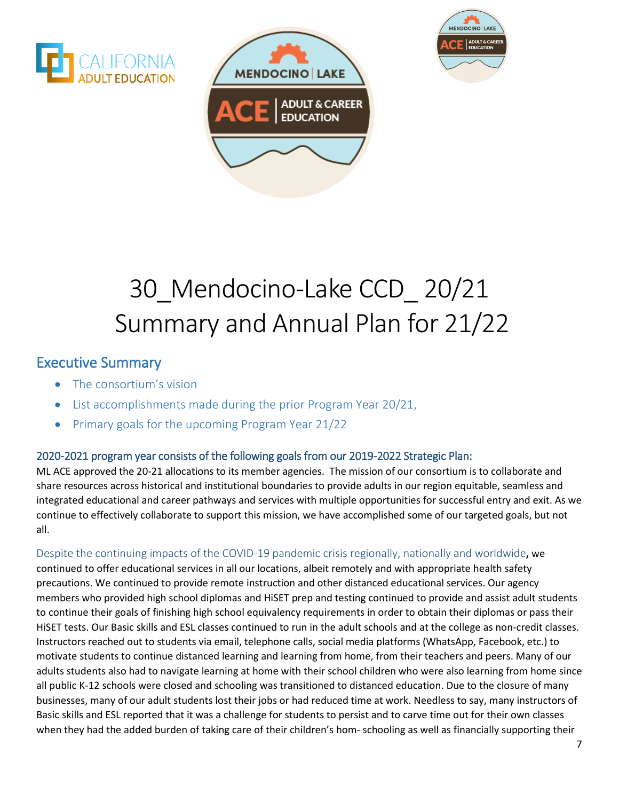





# 30\_Mendocino-Lake CCD\_ 20/21 Summary and Annual Plan for 21/22

# Executive Summary

- The consortium's vision
- List accomplishments made during the prior Program Year 20/21,
- Primary goals for the upcoming Program Year 21/22

## 2020-2021 program year consists of the following goals from our 2019-2022 Strategic Plan:

ML ACE approved the 20-21 allocations to its member agencies. The mission of our consortium is to collaborate and share resources across historical and institutional boundaries to provide adults in our region equitable, seamless and integrated educational and career pathways and services with multiple opportunities for successful entry and exit. As we continue to effectively collaborate to support this mission, we have accomplished some of our targeted goals, but not all.

Despite the continuing impacts of the COVID-19 pandemic crisis regionally, nationally and worldwide**,** we continued to offer educational services in all our locations, albeit remotely and with appropriate health safety precautions. We continued to provide remote instruction and other distanced educational services. Our agency members who provided high school diplomas and HiSET prep and testing continued to provide and assist adult students to continue their goals of finishing high school equivalency requirements in order to obtain their diplomas or pass their HiSET tests. Our Basic skills and ESL classes continued to run in the adult schools and at the college as non-credit classes. Instructors reached out to students via email, telephone calls, social media platforms (WhatsApp, Facebook, etc.) to motivate students to continue distanced learning and learning from home, from their teachers and peers. Many of our adults students also had to navigate learning at home with their school children who were also learning from home since all public K-12 schools were closed and schooling was transitioned to distanced education. Due to the closure of many businesses, many of our adult students lost their jobs or had reduced time at work. Needless to say, many instructors of Basic skills and ESL reported that it was a challenge for students to persist and to carve time out for their own classes when they had the added burden of taking care of their children's hom- schooling as well as financially supporting their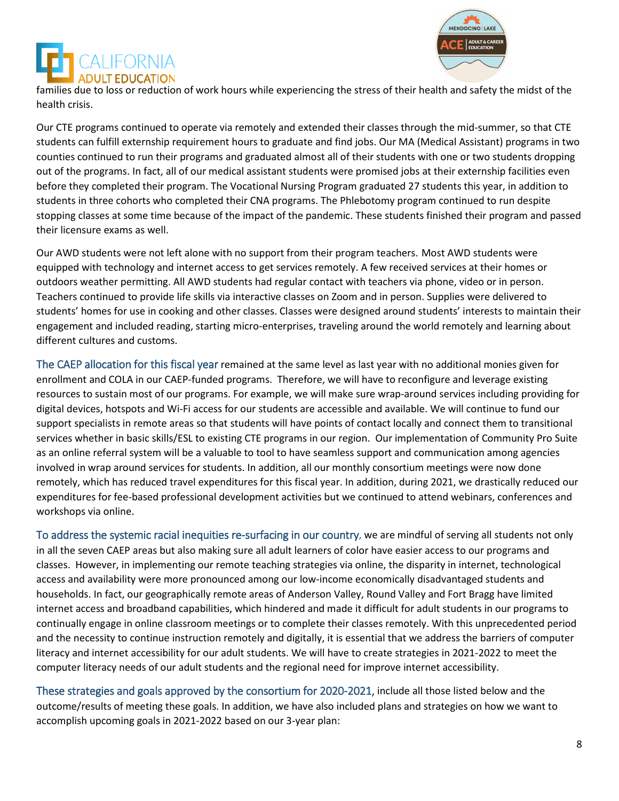



families due to loss or reduction of work hours while experiencing the stress of their health and safety the midst of the health crisis.

Our CTE programs continued to operate via remotely and extended their classes through the mid-summer, so that CTE students can fulfill externship requirement hours to graduate and find jobs. Our MA (Medical Assistant) programs in two counties continued to run their programs and graduated almost all of their students with one or two students dropping out of the programs. In fact, all of our medical assistant students were promised jobs at their externship facilities even before they completed their program. The Vocational Nursing Program graduated 27 students this year, in addition to students in three cohorts who completed their CNA programs. The Phlebotomy program continued to run despite stopping classes at some time because of the impact of the pandemic. These students finished their program and passed their licensure exams as well.

Our AWD students were not left alone with no support from their program teachers. Most AWD students were equipped with technology and internet access to get services remotely. A few received services at their homes or outdoors weather permitting. All AWD students had regular contact with teachers via phone, video or in person. Teachers continued to provide life skills via interactive classes on Zoom and in person. Supplies were delivered to students' homes for use in cooking and other classes. Classes were designed around students' interests to maintain their engagement and included reading, starting micro-enterprises, traveling around the world remotely and learning about different cultures and customs.

The CAEP allocation for this fiscal year remained at the same level as last year with no additional monies given for enrollment and COLA in our CAEP-funded programs. Therefore, we will have to reconfigure and leverage existing resources to sustain most of our programs. For example, we will make sure wrap-around services including providing for digital devices, hotspots and Wi-Fi access for our students are accessible and available. We will continue to fund our support specialists in remote areas so that students will have points of contact locally and connect them to transitional services whether in basic skills/ESL to existing CTE programs in our region. Our implementation of Community Pro Suite as an online referral system will be a valuable to tool to have seamless support and communication among agencies involved in wrap around services for students. In addition, all our monthly consortium meetings were now done remotely, which has reduced travel expenditures for this fiscal year. In addition, during 2021, we drastically reduced our expenditures for fee-based professional development activities but we continued to attend webinars, conferences and workshops via online.

To address the systemic racial inequities re-surfacing in our country, we are mindful of serving all students not only in all the seven CAEP areas but also making sure all adult learners of color have easier access to our programs and classes. However, in implementing our remote teaching strategies via online, the disparity in internet, technological access and availability were more pronounced among our low-income economically disadvantaged students and households. In fact, our geographically remote areas of Anderson Valley, Round Valley and Fort Bragg have limited internet access and broadband capabilities, which hindered and made it difficult for adult students in our programs to continually engage in online classroom meetings or to complete their classes remotely. With this unprecedented period and the necessity to continue instruction remotely and digitally, it is essential that we address the barriers of computer literacy and internet accessibility for our adult students. We will have to create strategies in 2021-2022 to meet the computer literacy needs of our adult students and the regional need for improve internet accessibility.

These strategies and goals approved by the consortium for 2020-2021, include all those listed below and the outcome/results of meeting these goals. In addition, we have also included plans and strategies on how we want to accomplish upcoming goals in 2021-2022 based on our 3-year plan: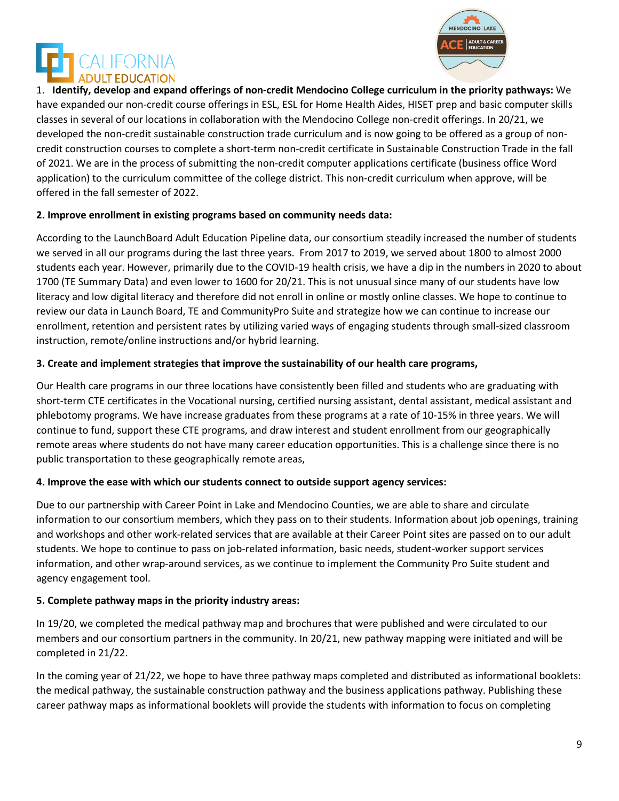



1. **Identify, develop and expand offerings of non-credit Mendocino College curriculum in the priority pathways:** We have expanded our non-credit course offerings in ESL, ESL for Home Health Aides, HISET prep and basic computer skills classes in several of our locations in collaboration with the Mendocino College non-credit offerings. In 20/21, we developed the non-credit sustainable construction trade curriculum and is now going to be offered as a group of noncredit construction courses to complete a short-term non-credit certificate in Sustainable Construction Trade in the fall of 2021. We are in the process of submitting the non-credit computer applications certificate (business office Word application) to the curriculum committee of the college district. This non-credit curriculum when approve, will be offered in the fall semester of 2022.

#### **2. Improve enrollment in existing programs based on community needs data:**

According to the LaunchBoard Adult Education Pipeline data, our consortium steadily increased the number of students we served in all our programs during the last three years. From 2017 to 2019, we served about 1800 to almost 2000 students each year. However, primarily due to the COVID-19 health crisis, we have a dip in the numbers in 2020 to about 1700 (TE Summary Data) and even lower to 1600 for 20/21. This is not unusual since many of our students have low literacy and low digital literacy and therefore did not enroll in online or mostly online classes. We hope to continue to review our data in Launch Board, TE and CommunityPro Suite and strategize how we can continue to increase our enrollment, retention and persistent rates by utilizing varied ways of engaging students through small-sized classroom instruction, remote/online instructions and/or hybrid learning.

#### **3. Create and implement strategies that improve the sustainability of our health care programs,**

Our Health care programs in our three locations have consistently been filled and students who are graduating with short-term CTE certificates in the Vocational nursing, certified nursing assistant, dental assistant, medical assistant and phlebotomy programs. We have increase graduates from these programs at a rate of 10-15% in three years. We will continue to fund, support these CTE programs, and draw interest and student enrollment from our geographically remote areas where students do not have many career education opportunities. This is a challenge since there is no public transportation to these geographically remote areas,

#### **4. Improve the ease with which our students connect to outside support agency services:**

Due to our partnership with Career Point in Lake and Mendocino Counties, we are able to share and circulate information to our consortium members, which they pass on to their students. Information about job openings, training and workshops and other work-related services that are available at their Career Point sites are passed on to our adult students. We hope to continue to pass on job-related information, basic needs, student-worker support services information, and other wrap-around services, as we continue to implement the Community Pro Suite student and agency engagement tool.

#### **5. Complete pathway maps in the priority industry areas:**

In 19/20, we completed the medical pathway map and brochures that were published and were circulated to our members and our consortium partners in the community. In 20/21, new pathway mapping were initiated and will be completed in 21/22.

In the coming year of 21/22, we hope to have three pathway maps completed and distributed as informational booklets: the medical pathway, the sustainable construction pathway and the business applications pathway. Publishing these career pathway maps as informational booklets will provide the students with information to focus on completing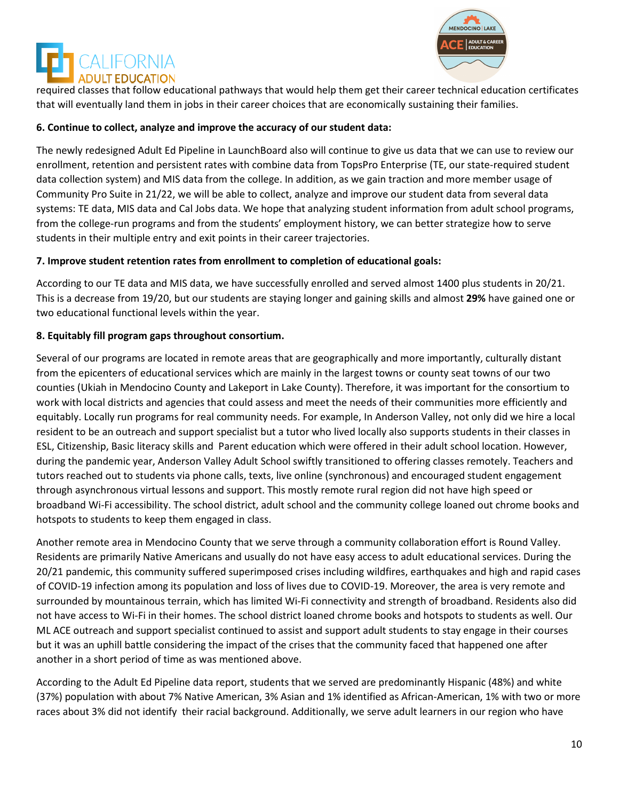



required classes that follow educational pathways that would help them get their career technical education certificates that will eventually land them in jobs in their career choices that are economically sustaining their families.

#### **6. Continue to collect, analyze and improve the accuracy of our student data:**

The newly redesigned Adult Ed Pipeline in LaunchBoard also will continue to give us data that we can use to review our enrollment, retention and persistent rates with combine data from TopsPro Enterprise (TE, our state-required student data collection system) and MIS data from the college. In addition, as we gain traction and more member usage of Community Pro Suite in 21/22, we will be able to collect, analyze and improve our student data from several data systems: TE data, MIS data and Cal Jobs data. We hope that analyzing student information from adult school programs, from the college-run programs and from the students' employment history, we can better strategize how to serve students in their multiple entry and exit points in their career trajectories.

#### **7. Improve student retention rates from enrollment to completion of educational goals:**

According to our TE data and MIS data, we have successfully enrolled and served almost 1400 plus students in 20/21. This is a decrease from 19/20, but our students are staying longer and gaining skills and almost **29%** have gained one or two educational functional levels within the year.

#### **8. Equitably fill program gaps throughout consortium.**

Several of our programs are located in remote areas that are geographically and more importantly, culturally distant from the epicenters of educational services which are mainly in the largest towns or county seat towns of our two counties (Ukiah in Mendocino County and Lakeport in Lake County). Therefore, it was important for the consortium to work with local districts and agencies that could assess and meet the needs of their communities more efficiently and equitably. Locally run programs for real community needs. For example, In Anderson Valley, not only did we hire a local resident to be an outreach and support specialist but a tutor who lived locally also supports students in their classes in ESL, Citizenship, Basic literacy skills and Parent education which were offered in their adult school location. However, during the pandemic year, Anderson Valley Adult School swiftly transitioned to offering classes remotely. Teachers and tutors reached out to students via phone calls, texts, live online (synchronous) and encouraged student engagement through asynchronous virtual lessons and support. This mostly remote rural region did not have high speed or broadband Wi-Fi accessibility. The school district, adult school and the community college loaned out chrome books and hotspots to students to keep them engaged in class.

Another remote area in Mendocino County that we serve through a community collaboration effort is Round Valley. Residents are primarily Native Americans and usually do not have easy access to adult educational services. During the 20/21 pandemic, this community suffered superimposed crises including wildfires, earthquakes and high and rapid cases of COVID-19 infection among its population and loss of lives due to COVID-19. Moreover, the area is very remote and surrounded by mountainous terrain, which has limited Wi-Fi connectivity and strength of broadband. Residents also did not have access to Wi-Fi in their homes. The school district loaned chrome books and hotspots to students as well. Our ML ACE outreach and support specialist continued to assist and support adult students to stay engage in their courses but it was an uphill battle considering the impact of the crises that the community faced that happened one after another in a short period of time as was mentioned above.

According to the Adult Ed Pipeline data report, students that we served are predominantly Hispanic (48%) and white (37%) population with about 7% Native American, 3% Asian and 1% identified as African-American, 1% with two or more races about 3% did not identify their racial background. Additionally, we serve adult learners in our region who have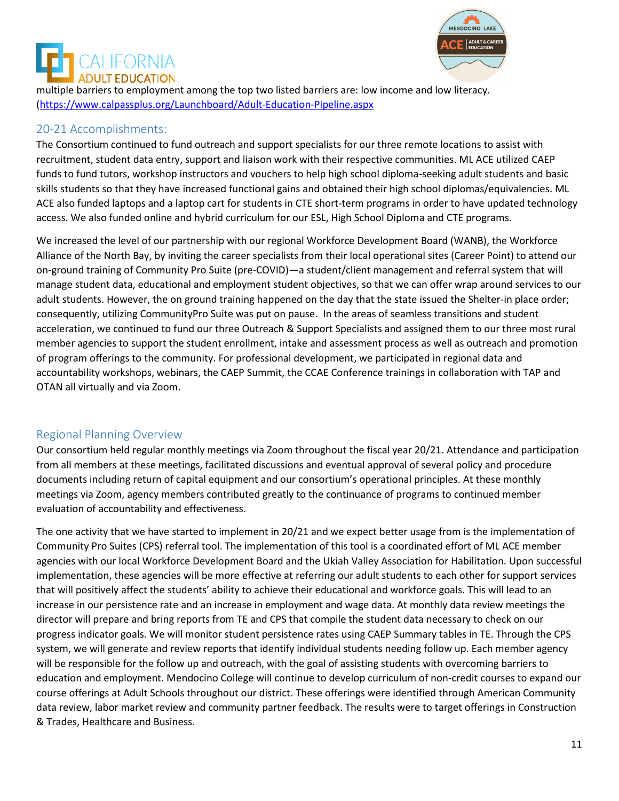



multiple barriers to employment among the top two listed barriers are: low income and low literacy. [\(https://www.calpassplus.org/Launchboard/Adult-Education-Pipeline.aspx](https://www.calpassplus.org/Launchboard/Adult-Education-Pipeline.aspx)

#### 20-21 Accomplishments:

The Consortium continued to fund outreach and support specialists for our three remote locations to assist with recruitment, student data entry, support and liaison work with their respective communities. ML ACE utilized CAEP funds to fund tutors, workshop instructors and vouchers to help high school diploma-seeking adult students and basic skills students so that they have increased functional gains and obtained their high school diplomas/equivalencies. ML ACE also funded laptops and a laptop cart for students in CTE short-term programs in order to have updated technology access. We also funded online and hybrid curriculum for our ESL, High School Diploma and CTE programs.

We increased the level of our partnership with our regional Workforce Development Board (WANB), the Workforce Alliance of the North Bay, by inviting the career specialists from their local operational sites (Career Point) to attend our on-ground training of Community Pro Suite (pre-COVID)—a student/client management and referral system that will manage student data, educational and employment student objectives, so that we can offer wrap around services to our adult students. However, the on ground training happened on the day that the state issued the Shelter-in place order; consequently, utilizing CommunityPro Suite was put on pause. In the areas of seamless transitions and student acceleration, we continued to fund our three Outreach & Support Specialists and assigned them to our three most rural member agencies to support the student enrollment, intake and assessment process as well as outreach and promotion of program offerings to the community. For professional development, we participated in regional data and accountability workshops, webinars, the CAEP Summit, the CCAE Conference trainings in collaboration with TAP and OTAN all virtually and via Zoom.

#### Regional Planning Overview

Our consortium held regular monthly meetings via Zoom throughout the fiscal year 20/21. Attendance and participation from all members at these meetings, facilitated discussions and eventual approval of several policy and procedure documents including return of capital equipment and our consortium's operational principles. At these monthly meetings via Zoom, agency members contributed greatly to the continuance of programs to continued member evaluation of accountability and effectiveness.

The one activity that we have started to implement in 20/21 and we expect better usage from is the implementation of Community Pro Suites (CPS) referral tool. The implementation of this tool is a coordinated effort of ML ACE member agencies with our local Workforce Development Board and the Ukiah Valley Association for Habilitation. Upon successful implementation, these agencies will be more effective at referring our adult students to each other for support services that will positively affect the students' ability to achieve their educational and workforce goals. This will lead to an increase in our persistence rate and an increase in employment and wage data. At monthly data review meetings the director will prepare and bring reports from TE and CPS that compile the student data necessary to check on our progress indicator goals. We will monitor student persistence rates using CAEP Summary tables in TE. Through the CPS system, we will generate and review reports that identify individual students needing follow up. Each member agency will be responsible for the follow up and outreach, with the goal of assisting students with overcoming barriers to education and employment. Mendocino College will continue to develop curriculum of non-credit courses to expand our course offerings at Adult Schools throughout our district. These offerings were identified through American Community data review, labor market review and community partner feedback. The results were to target offerings in Construction & Trades, Healthcare and Business.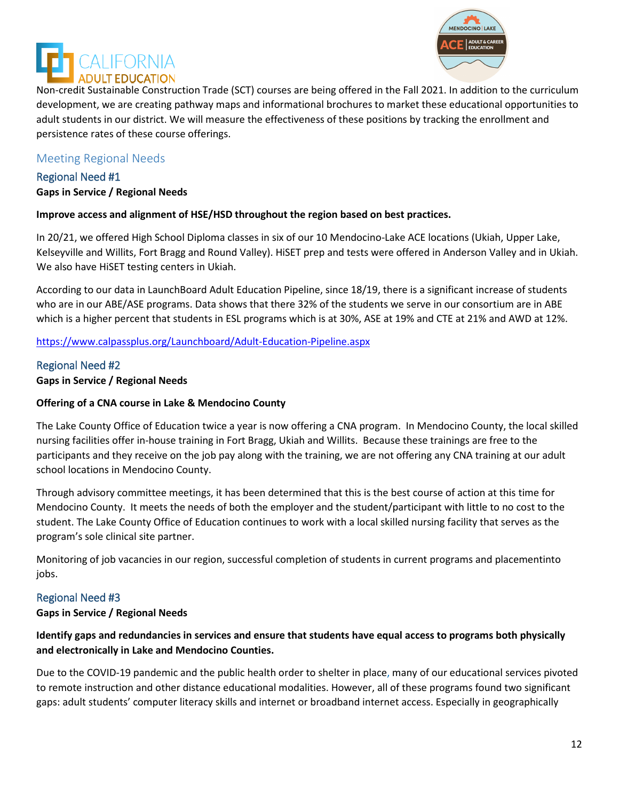



Non-credit Sustainable Construction Trade (SCT) courses are being offered in the Fall 2021. In addition to the curriculum development, we are creating pathway maps and informational brochures to market these educational opportunities to adult students in our district. We will measure the effectiveness of these positions by tracking the enrollment and persistence rates of these course offerings.

#### Meeting Regional Needs

# Regional Need #1

#### **Gaps in Service / Regional Needs**

#### **Improve access and alignment of HSE/HSD throughout the region based on best practices.**

In 20/21, we offered High School Diploma classes in six of our 10 Mendocino-Lake ACE locations (Ukiah, Upper Lake, Kelseyville and Willits, Fort Bragg and Round Valley). HiSET prep and tests were offered in Anderson Valley and in Ukiah. We also have HiSET testing centers in Ukiah.

According to our data in LaunchBoard Adult Education Pipeline, since 18/19, there is a significant increase of students who are in our ABE/ASE programs. Data shows that there 32% of the students we serve in our consortium are in ABE which is a higher percent that students in ESL programs which is at 30%, ASE at 19% and CTE at 21% and AWD at 12%.

<https://www.calpassplus.org/Launchboard/Adult-Education-Pipeline.aspx>

Regional Need #2 **Gaps in Service / Regional Needs**

#### **Offering of a CNA course in Lake & Mendocino County**

The Lake County Office of Education twice a year is now offering a CNA program. In Mendocino County, the local skilled nursing facilities offer in-house training in Fort Bragg, Ukiah and Willits. Because these trainings are free to the participants and they receive on the job pay along with the training, we are not offering any CNA training at our adult school locations in Mendocino County.

Through advisory committee meetings, it has been determined that this is the best course of action at this time for Mendocino County. It meets the needs of both the employer and the student/participant with little to no cost to the student. The Lake County Office of Education continues to work with a local skilled nursing facility that serves as the program's sole clinical site partner.

Monitoring of job vacancies in our region, successful completion of students in current programs and placementinto jobs.

#### Regional Need #3

#### **Gaps in Service / Regional Needs**

#### **Identify gaps and redundancies in services and ensure that students have equal access to programs both physically and electronically in Lake and Mendocino Counties.**

Due to the COVID-19 pandemic and the public health order to shelter in place, many of our educational services pivoted to remote instruction and other distance educational modalities. However, all of these programs found two significant gaps: adult students' computer literacy skills and internet or broadband internet access. Especially in geographically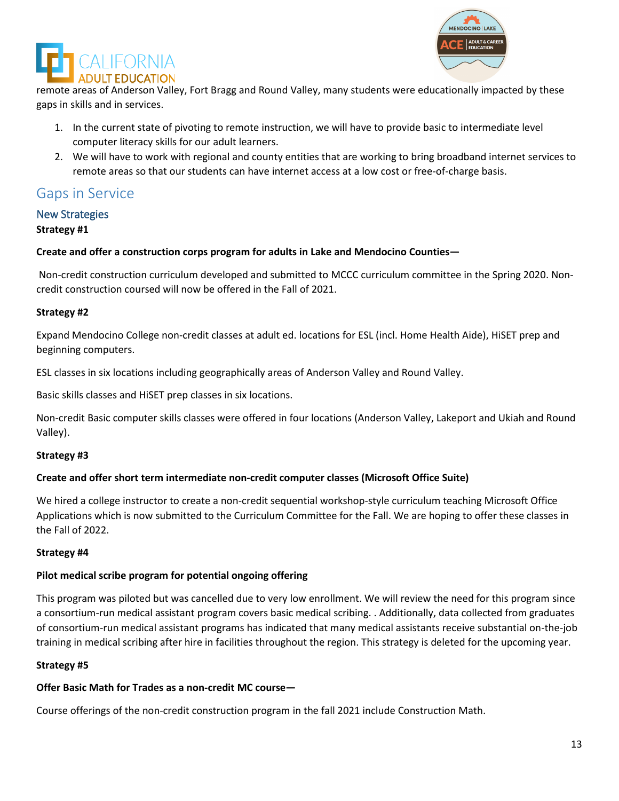



remote areas of Anderson Valley, Fort Bragg and Round Valley, many students were educationally impacted by these gaps in skills and in services.

- 1. In the current state of pivoting to remote instruction, we will have to provide basic to intermediate level computer literacy skills for our adult learners.
- 2. We will have to work with regional and county entities that are working to bring broadband internet services to remote areas so that our students can have internet access at a low cost or free-of-charge basis.

# Gaps in Service

# New Strategies

#### **Strategy #1**

#### **Create and offer a construction corps program for adults in Lake and Mendocino Counties—**

Non-credit construction curriculum developed and submitted to MCCC curriculum committee in the Spring 2020. Noncredit construction coursed will now be offered in the Fall of 2021.

#### **Strategy #2**

Expand Mendocino College non-credit classes at adult ed. locations for ESL (incl. Home Health Aide), HiSET prep and beginning computers.

ESL classes in six locations including geographically areas of Anderson Valley and Round Valley.

Basic skills classes and HiSET prep classes in six locations.

Non-credit Basic computer skills classes were offered in four locations (Anderson Valley, Lakeport and Ukiah and Round Valley).

#### **Strategy #3**

#### **Create and offer short term intermediate non-credit computer classes (Microsoft Office Suite)**

We hired a college instructor to create a non-credit sequential workshop-style curriculum teaching Microsoft Office Applications which is now submitted to the Curriculum Committee for the Fall. We are hoping to offer these classes in the Fall of 2022.

#### **Strategy #4**

#### **Pilot medical scribe program for potential ongoing offering**

This program was piloted but was cancelled due to very low enrollment. We will review the need for this program since a consortium-run medical assistant program covers basic medical scribing. . Additionally, data collected from graduates of consortium-run medical assistant programs has indicated that many medical assistants receive substantial on-the-job training in medical scribing after hire in facilities throughout the region. This strategy is deleted for the upcoming year.

#### **Strategy #5**

#### **Offer Basic Math for Trades as a non-credit MC course—**

Course offerings of the non-credit construction program in the fall 2021 include Construction Math.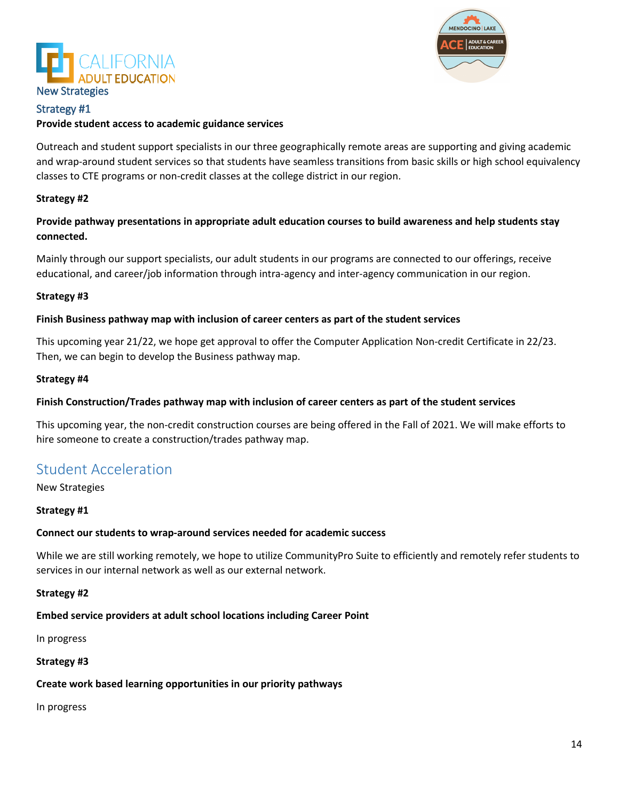



#### Strategy #1

#### **Provide student access to academic guidance services**

Outreach and student support specialists in our three geographically remote areas are supporting and giving academic and wrap-around student services so that students have seamless transitions from basic skills or high school equivalency classes to CTE programs or non-credit classes at the college district in our region.

#### **Strategy #2**

**Provide pathway presentations in appropriate adult education courses to build awareness and help students stay connected.**

Mainly through our support specialists, our adult students in our programs are connected to our offerings, receive educational, and career/job information through intra-agency and inter-agency communication in our region.

#### **Strategy #3**

#### **Finish Business pathway map with inclusion of career centers as part of the student services**

This upcoming year 21/22, we hope get approval to offer the Computer Application Non-credit Certificate in 22/23. Then, we can begin to develop the Business pathway map.

#### **Strategy #4**

#### **Finish Construction/Trades pathway map with inclusion of career centers as part of the student services**

This upcoming year, the non-credit construction courses are being offered in the Fall of 2021. We will make efforts to hire someone to create a construction/trades pathway map.

## Student Acceleration

New Strategies

#### **Strategy #1**

#### **Connect our students to wrap-around services needed for academic success**

While we are still working remotely, we hope to utilize CommunityPro Suite to efficiently and remotely refer students to services in our internal network as well as our external network.

#### **Strategy #2**

#### **Embed service providers at adult school locations including Career Point**

In progress

#### **Strategy #3**

#### **Create work based learning opportunities in our priority pathways**

In progress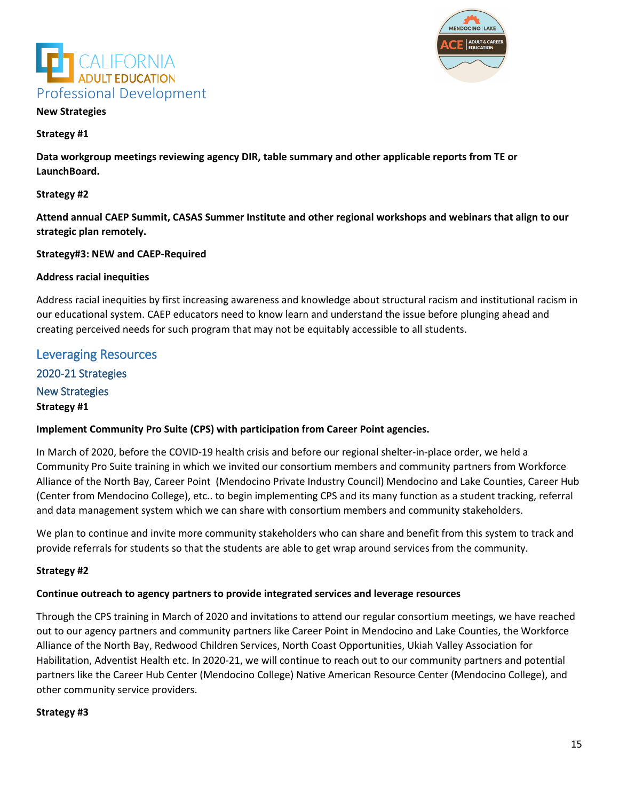



#### **New Strategies**

#### **Strategy #1**

**Data workgroup meetings reviewing agency DIR, table summary and other applicable reports from TE or LaunchBoard.**

#### **Strategy #2**

**Attend annual CAEP Summit, CASAS Summer Institute and other regional workshops and webinars that align to our strategic plan remotely.**

#### **Strategy#3: NEW and CAEP-Required**

#### **Address racial inequities**

Address racial inequities by first increasing awareness and knowledge about structural racism and institutional racism in our educational system. CAEP educators need to know learn and understand the issue before plunging ahead and creating perceived needs for such program that may not be equitably accessible to all students.

# Leveraging Resources 2020-21 Strategies New Strategies **Strategy #1**

#### **Implement Community Pro Suite (CPS) with participation from Career Point agencies.**

In March of 2020, before the COVID-19 health crisis and before our regional shelter-in-place order, we held a Community Pro Suite training in which we invited our consortium members and community partners from Workforce Alliance of the North Bay, Career Point (Mendocino Private Industry Council) Mendocino and Lake Counties, Career Hub (Center from Mendocino College), etc.. to begin implementing CPS and its many function as a student tracking, referral and data management system which we can share with consortium members and community stakeholders.

We plan to continue and invite more community stakeholders who can share and benefit from this system to track and provide referrals for students so that the students are able to get wrap around services from the community.

#### **Strategy #2**

#### **Continue outreach to agency partners to provide integrated services and leverage resources**

Through the CPS training in March of 2020 and invitations to attend our regular consortium meetings, we have reached out to our agency partners and community partners like Career Point in Mendocino and Lake Counties, the Workforce Alliance of the North Bay, Redwood Children Services, North Coast Opportunities, Ukiah Valley Association for Habilitation, Adventist Health etc. In 2020-21, we will continue to reach out to our community partners and potential partners like the Career Hub Center (Mendocino College) Native American Resource Center (Mendocino College), and other community service providers.

#### **Strategy #3**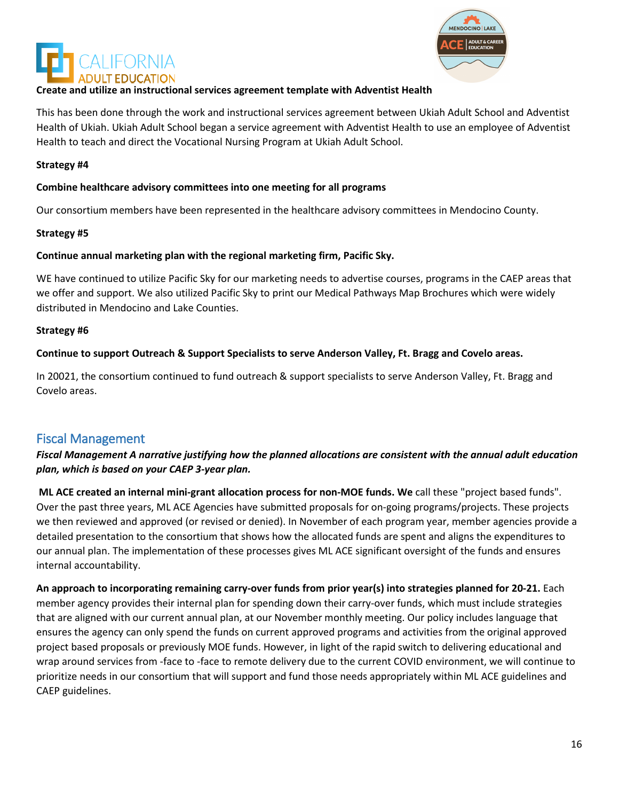



#### **Create and utilize an instructional services agreement template with Adventist Health**

This has been done through the work and instructional services agreement between Ukiah Adult School and Adventist Health of Ukiah. Ukiah Adult School began a service agreement with Adventist Health to use an employee of Adventist Health to teach and direct the Vocational Nursing Program at Ukiah Adult School.

#### **Strategy #4**

#### **Combine healthcare advisory committees into one meeting for all programs**

Our consortium members have been represented in the healthcare advisory committees in Mendocino County.

#### **Strategy #5**

#### **Continue annual marketing plan with the regional marketing firm, Pacific Sky.**

WE have continued to utilize Pacific Sky for our marketing needs to advertise courses, programs in the CAEP areas that we offer and support. We also utilized Pacific Sky to print our Medical Pathways Map Brochures which were widely distributed in Mendocino and Lake Counties.

#### **Strategy #6**

#### **Continue to support Outreach & Support Specialists to serve Anderson Valley, Ft. Bragg and Covelo areas.**

In 20021, the consortium continued to fund outreach & support specialists to serve Anderson Valley, Ft. Bragg and Covelo areas.

#### Fiscal Management

#### *Fiscal Management A narrative justifying how the planned allocations are consistent with the annual adult education plan, which is based on your CAEP 3-year plan.*

**ML ACE created an internal mini-grant allocation process for non-MOE funds. We** call these "project based funds". Over the past three years, ML ACE Agencies have submitted proposals for on-going programs/projects. These projects we then reviewed and approved (or revised or denied). In November of each program year, member agencies provide a detailed presentation to the consortium that shows how the allocated funds are spent and aligns the expenditures to our annual plan. The implementation of these processes gives ML ACE significant oversight of the funds and ensures internal accountability.

**An approach to incorporating remaining carry-over funds from prior year(s) into strategies planned for 20-21.** Each member agency provides their internal plan for spending down their carry-over funds, which must include strategies that are aligned with our current annual plan, at our November monthly meeting. Our policy includes language that ensures the agency can only spend the funds on current approved programs and activities from the original approved project based proposals or previously MOE funds. However, in light of the rapid switch to delivering educational and wrap around services from -face to -face to remote delivery due to the current COVID environment, we will continue to prioritize needs in our consortium that will support and fund those needs appropriately within ML ACE guidelines and CAEP guidelines.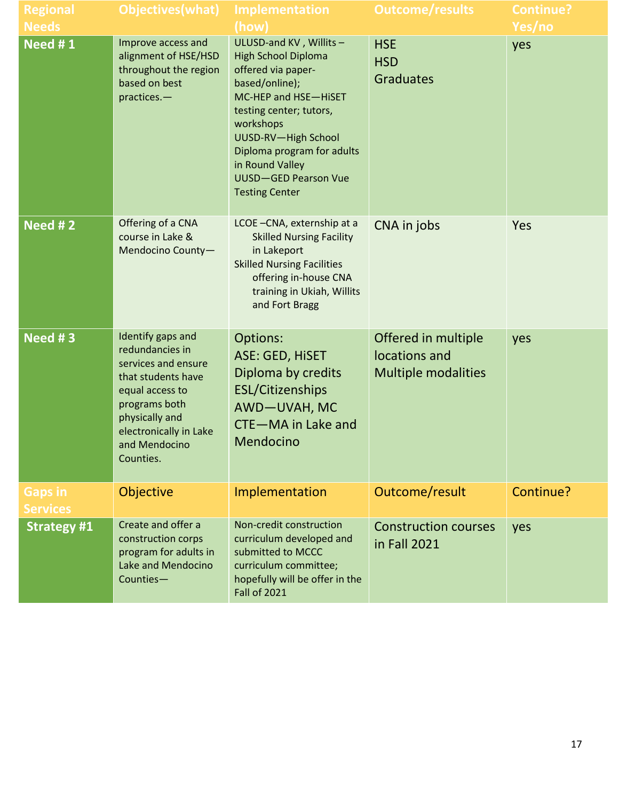| <b>Regional</b>                   | Objectives (what)                                                                                                                                                                               | <b>Implementation</b>                                                                                                                                                                                                                                                                        | <b>Outcome/results</b>                                             | <b>Continue?</b> |
|-----------------------------------|-------------------------------------------------------------------------------------------------------------------------------------------------------------------------------------------------|----------------------------------------------------------------------------------------------------------------------------------------------------------------------------------------------------------------------------------------------------------------------------------------------|--------------------------------------------------------------------|------------------|
| <b>Needs</b>                      |                                                                                                                                                                                                 | (how)                                                                                                                                                                                                                                                                                        |                                                                    | Yes/no           |
| Need #1                           | Improve access and<br>alignment of HSE/HSD<br>throughout the region<br>based on best<br>practices.-                                                                                             | ULUSD-and KV, Willits-<br><b>High School Diploma</b><br>offered via paper-<br>based/online);<br>MC-HEP and HSE-HISET<br>testing center; tutors,<br>workshops<br>UUSD-RV-High School<br>Diploma program for adults<br>in Round Valley<br><b>UUSD-GED Pearson Vue</b><br><b>Testing Center</b> | <b>HSE</b><br><b>HSD</b><br><b>Graduates</b>                       | yes              |
| Need # $2$                        | Offering of a CNA<br>course in Lake &<br>Mendocino County-                                                                                                                                      | LCOE-CNA, externship at a<br><b>Skilled Nursing Facility</b><br>in Lakeport<br><b>Skilled Nursing Facilities</b><br>offering in-house CNA<br>training in Ukiah, Willits<br>and Fort Bragg                                                                                                    | CNA in jobs                                                        | Yes              |
| Need #3                           | Identify gaps and<br>redundancies in<br>services and ensure<br>that students have<br>equal access to<br>programs both<br>physically and<br>electronically in Lake<br>and Mendocino<br>Counties. | Options:<br>ASE: GED, HISET<br>Diploma by credits<br><b>ESL/Citizenships</b><br>AWD-UVAH, MC<br>CTE-MA in Lake and<br>Mendocino                                                                                                                                                              | Offered in multiple<br>locations and<br><b>Multiple modalities</b> | yes              |
| <b>Gaps in</b><br><b>Services</b> | Objective                                                                                                                                                                                       | Implementation                                                                                                                                                                                                                                                                               | Outcome/result                                                     | Continue?        |
| <b>Strategy #1</b>                | Create and offer a<br>construction corps<br>program for adults in<br>Lake and Mendocino<br>Counties-                                                                                            | Non-credit construction<br>curriculum developed and<br>submitted to MCCC<br>curriculum committee;<br>hopefully will be offer in the<br><b>Fall of 2021</b>                                                                                                                                   | <b>Construction courses</b><br>in Fall 2021                        | yes              |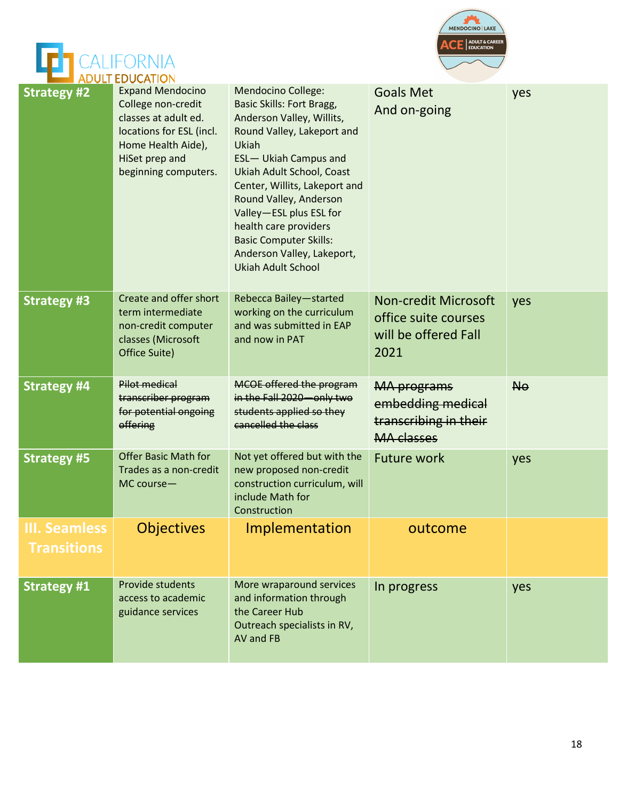



|                                            | <b>ADULI EDUCATION</b>                                                                                                                                            |                                                                                                                                                                                                                                                                                                                                                                                                           |                                                                                       |           |
|--------------------------------------------|-------------------------------------------------------------------------------------------------------------------------------------------------------------------|-----------------------------------------------------------------------------------------------------------------------------------------------------------------------------------------------------------------------------------------------------------------------------------------------------------------------------------------------------------------------------------------------------------|---------------------------------------------------------------------------------------|-----------|
| <b>Strategy #2</b>                         | <b>Expand Mendocino</b><br>College non-credit<br>classes at adult ed.<br>locations for ESL (incl.<br>Home Health Aide),<br>HiSet prep and<br>beginning computers. | <b>Mendocino College:</b><br><b>Basic Skills: Fort Bragg,</b><br>Anderson Valley, Willits,<br>Round Valley, Lakeport and<br>Ukiah<br><b>ESL-</b> Ukiah Campus and<br>Ukiah Adult School, Coast<br>Center, Willits, Lakeport and<br>Round Valley, Anderson<br>Valley-ESL plus ESL for<br>health care providers<br><b>Basic Computer Skills:</b><br>Anderson Valley, Lakeport,<br><b>Ukiah Adult School</b> | <b>Goals Met</b><br>And on-going                                                      | yes       |
| <b>Strategy #3</b>                         | Create and offer short<br>term intermediate<br>non-credit computer<br>classes (Microsoft<br>Office Suite)                                                         | Rebecca Bailey-started<br>working on the curriculum<br>and was submitted in EAP<br>and now in PAT                                                                                                                                                                                                                                                                                                         | <b>Non-credit Microsoft</b><br>office suite courses<br>will be offered Fall<br>2021   | yes       |
| <b>Strategy #4</b>                         | <b>Pilot medical</b><br>transcriber program<br>for potential ongoing<br>offering                                                                                  | MCOE offered the program<br>in the Fall 2020 - only two<br>students applied so they<br>cancelled the class                                                                                                                                                                                                                                                                                                | <b>MA</b> programs<br>embedding medical<br>transcribing in their<br><b>MA</b> classes | <b>No</b> |
| <b>Strategy #5</b>                         | <b>Offer Basic Math for</b><br>Trades as a non-credit<br>MC course-                                                                                               | Not yet offered but with the<br>new proposed non-credit<br>construction curriculum, will<br>include Math for<br>Construction                                                                                                                                                                                                                                                                              | <b>Future work</b>                                                                    | yes       |
| <b>III. Seamless</b><br><b>Transitions</b> | Objectives                                                                                                                                                        | Implementation                                                                                                                                                                                                                                                                                                                                                                                            | outcome                                                                               |           |
| <b>Strategy #1</b>                         | Provide students<br>access to academic<br>guidance services                                                                                                       | More wraparound services<br>and information through<br>the Career Hub<br>Outreach specialists in RV,<br>AV and FB                                                                                                                                                                                                                                                                                         | In progress                                                                           | yes       |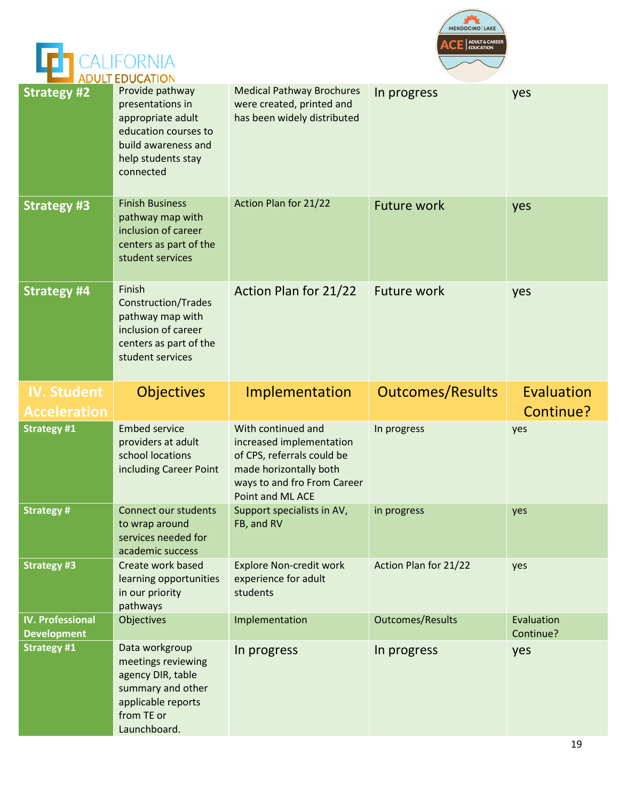



|                                               | ADULT EDUCATION                                                                                                                            |                                                                                              |                         |                         |
|-----------------------------------------------|--------------------------------------------------------------------------------------------------------------------------------------------|----------------------------------------------------------------------------------------------|-------------------------|-------------------------|
| <b>Strategy #2</b>                            | Provide pathway<br>presentations in<br>appropriate adult<br>education courses to<br>build awareness and<br>help students stay<br>connected | <b>Medical Pathway Brochures</b><br>were created, printed and<br>has been widely distributed | In progress             | yes                     |
| <b>Strategy #3</b>                            | <b>Finish Business</b><br>pathway map with<br>inclusion of career<br>centers as part of the<br>student services                            | Action Plan for 21/22                                                                        | <b>Future work</b>      | yes                     |
| <b>Strategy #4</b>                            | Finish<br><b>Construction/Trades</b><br>pathway map with<br>inclusion of career<br>centers as part of the<br>student services              | Action Plan for 21/22                                                                        | <b>Future work</b>      | yes                     |
| <b>IV. Student</b>                            | <b>Objectives</b>                                                                                                                          | Implementation                                                                               | <b>Outcomes/Results</b> | Evaluation              |
| <b>Acceleration</b>                           |                                                                                                                                            |                                                                                              |                         | Continue?               |
| <b>Strategy #1</b>                            | <b>Embed service</b><br>providers at adult<br>school locations                                                                             | With continued and<br>increased implementation<br>of CPS, referrals could be                 | In progress             | yes                     |
|                                               | including Career Point                                                                                                                     | made horizontally both<br>ways to and fro From Career<br>Point and ML ACE                    |                         |                         |
| <b>Strategy#</b>                              | <b>Connect our students</b><br>to wrap around<br>services needed for<br>academic success                                                   | Support specialists in AV,<br>FB, and RV                                                     | in progress             | yes                     |
| <b>Strategy #3</b>                            | Create work based<br>learning opportunities<br>in our priority<br>pathways                                                                 | <b>Explore Non-credit work</b><br>experience for adult<br>students                           | Action Plan for 21/22   | yes                     |
| <b>IV. Professional</b><br><b>Development</b> | Objectives                                                                                                                                 | Implementation                                                                               | <b>Outcomes/Results</b> | Evaluation<br>Continue? |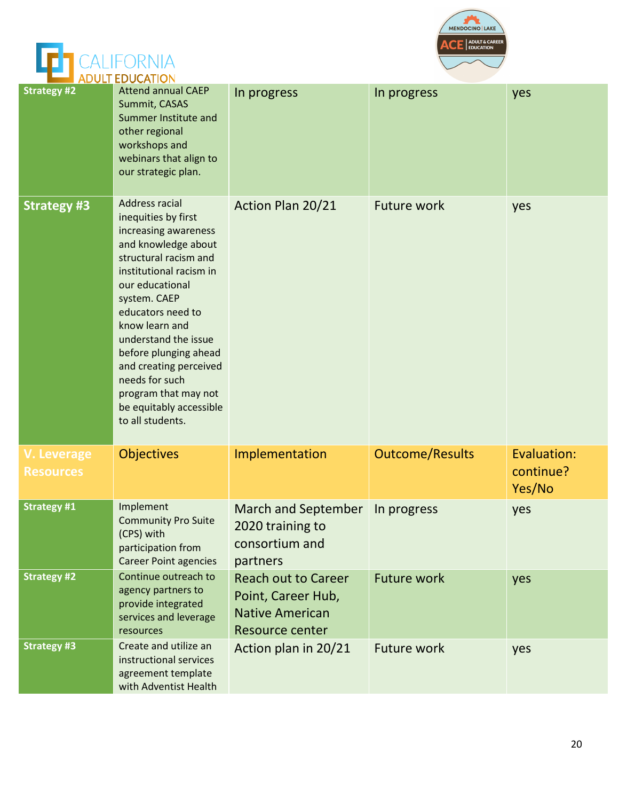



|                                        | <b>ADULT EDUCATION</b>                                                                                                                                                                                                                                                                                                                                                                        |                                                                                                      |                        |                                    |
|----------------------------------------|-----------------------------------------------------------------------------------------------------------------------------------------------------------------------------------------------------------------------------------------------------------------------------------------------------------------------------------------------------------------------------------------------|------------------------------------------------------------------------------------------------------|------------------------|------------------------------------|
| <b>Strategy #2</b>                     | <b>Attend annual CAEP</b><br>Summit, CASAS<br>Summer Institute and<br>other regional<br>workshops and<br>webinars that align to<br>our strategic plan.                                                                                                                                                                                                                                        | In progress                                                                                          | In progress            | yes                                |
| <b>Strategy #3</b>                     | <b>Address racial</b><br>inequities by first<br>increasing awareness<br>and knowledge about<br>structural racism and<br>institutional racism in<br>our educational<br>system. CAEP<br>educators need to<br>know learn and<br>understand the issue<br>before plunging ahead<br>and creating perceived<br>needs for such<br>program that may not<br>be equitably accessible<br>to all students. | Action Plan 20/21                                                                                    | <b>Future work</b>     | yes                                |
| <b>V. Leverage</b><br><b>Resources</b> | <b>Objectives</b>                                                                                                                                                                                                                                                                                                                                                                             | Implementation                                                                                       | <b>Outcome/Results</b> | Evaluation:<br>continue?<br>Yes/No |
| <b>Strategy #1</b>                     | Implement<br><b>Community Pro Suite</b><br>(CPS) with<br>participation from<br><b>Career Point agencies</b>                                                                                                                                                                                                                                                                                   | <b>March and September</b><br>2020 training to<br>consortium and<br>partners                         | In progress            | yes                                |
| <b>Strategy #2</b>                     | Continue outreach to<br>agency partners to<br>provide integrated<br>services and leverage<br>resources                                                                                                                                                                                                                                                                                        | <b>Reach out to Career</b><br>Point, Career Hub,<br><b>Native American</b><br><b>Resource center</b> | <b>Future work</b>     | yes                                |
| <b>Strategy #3</b>                     | Create and utilize an<br>instructional services<br>agreement template<br>with Adventist Health                                                                                                                                                                                                                                                                                                | Action plan in 20/21                                                                                 | <b>Future work</b>     | yes                                |